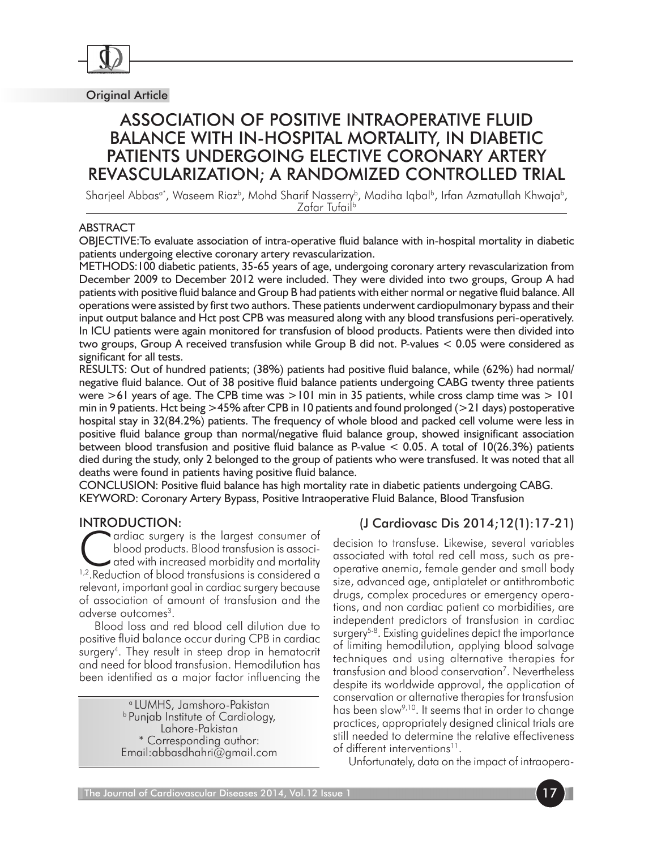

Original Article

# Association of Positive Intraoperative fluid balance with in-Hospital mortality, in diabetic patients undergoing elective coronary artery revascularization; a Randomized Controlled Trial

Sharjeel Abbasa\*, Waseem Riazb , Mohd Sharif Nasserryb , Madiha Iqbalb , Irfan Azmatullah Khwajab , Zafar Tufailb

### ABSTRACT

OBJECTIVE:To evaluate association of intra-operative fluid balance with in-hospital mortality in diabetic patients undergoing elective coronary artery revascularization.

METHODS:100 diabetic patients, 35-65 years of age, undergoing coronary artery revascularization from December 2009 to December 2012 were included. They were divided into two groups, Group A had patients with positive fluid balance and Group B had patients with either normal or negative fluid balance. All operations were assisted by first two authors. These patients underwent cardiopulmonary bypass and their input output balance and Hct post CPB was measured along with any blood transfusions peri-operatively. In ICU patients were again monitored for transfusion of blood products. Patients were then divided into two groups, Group A received transfusion while Group B did not. P-values < 0.05 were considered as significant for all tests.

RESULTS: Out of hundred patients; (38%) patients had positive fluid balance, while (62%) had normal/ negative fluid balance. Out of 38 positive fluid balance patients undergoing CABG twenty three patients were  $>61$  years of age. The CPB time was  $>101$  min in 35 patients, while cross clamp time was  $>101$ min in 9 patients. Hct being >45% after CPB in 10 patients and found prolonged (>21 days) postoperative hospital stay in 32(84.2%) patients. The frequency of whole blood and packed cell volume were less in positive fluid balance group than normal/negative fluid balance group, showed insignificant association between blood transfusion and positive fluid balance as P-value < 0.05. A total of 10(26.3%) patients died during the study, only 2 belonged to the group of patients who were transfused. It was noted that all deaths were found in patients having positive fluid balance.

CONCLUSION: Positive fluid balance has high mortality rate in diabetic patients undergoing CABG. KEYWORD: Coronary Artery Bypass, Positive Intraoperative Fluid Balance, Blood Transfusion

### Introduction:

Cardiac surgery is the largest consumer of<br>blood products. Blood transfusion is associ-<br>ated with increased morbidity and mortality<br>leaduction of blood transfusions is considered a blood products. Blood transfusion is associ- $\blacktriangleright$  ated with increased morbidity and mortality <sup>1,2</sup>. Reduction of blood transfusions is considered a relevant, important goal in cardiac surgery because of association of amount of transfusion and the adverse outcomes<sup>3</sup>.

Blood loss and red blood cell dilution due to positive fluid balance occur during CPB in cardiac surgery<sup>4</sup>. They result in steep drop in hematocrit and need for blood transfusion. Hemodilution has been identified as a major factor influencing the

> a LUMHS, Jamshoro-Pakistan b Punjab Institute of Cardiology, Lahore-Pakistan \* Corresponding author: Email:abbasdhahri@gmail.com

# (J Cardiovasc Dis 2014;12(1):17-21)

decision to transfuse. Likewise, several variables associated with total red cell mass, such as preoperative anemia, female gender and small body size, advanced age, antiplatelet or antithrombotic drugs, complex procedures or emergency operations, and non cardiac patient co morbidities, are independent predictors of transfusion in cardiac surgery<sup>5-8</sup>. Existing guidelines depict the importance of limiting hemodilution, applying blood salvage techniques and using alternative therapies for transfusion and blood conservation<sup>7</sup>. Nevertheless despite its worldwide approval, the application of conservation or alternative therapies for transfusion has been slow9,10. It seems that in order to change practices, appropriately designed clinical trials are still needed to determine the relative effectiveness of different interventions<sup>11</sup>.

Unfortunately, data on the impact of intraopera-

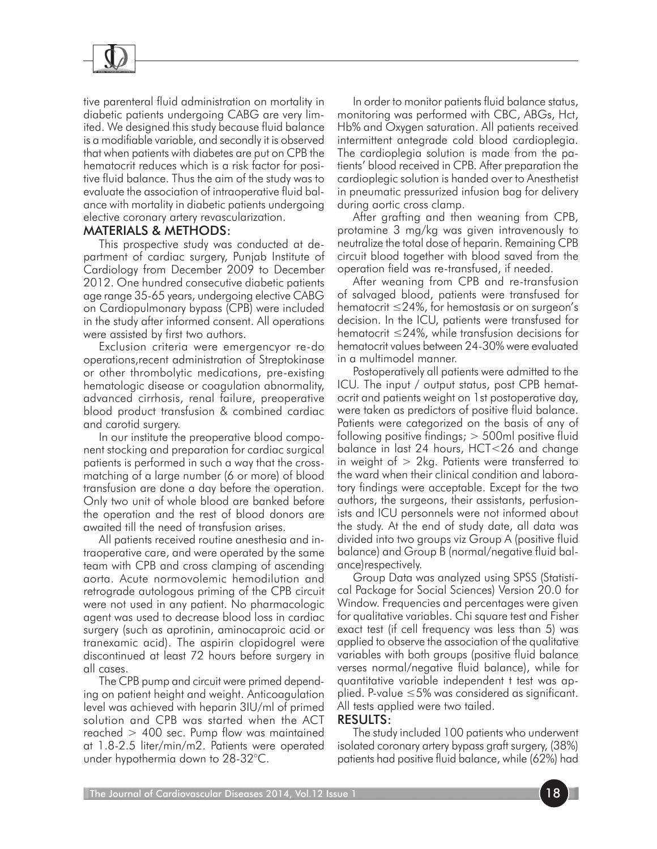

tive parenteral fluid administration on mortality in diabetic patients undergoing CABG are very limited. We designed this study because fluid balance is a modifiable variable, and secondly it is observed that when patients with diabetes are put on CPB the hematocrit reduces which is a risk factor for positive fluid balance. Thus the aim of the study was to evaluate the association of intraoperative fluid balance with mortality in diabetic patients undergoing elective coronary artery revascularization.

### Materials & Methods:

This prospective study was conducted at department of cardiac surgery, Punjab Institute of Cardiology from December 2009 to December 2012. One hundred consecutive diabetic patients age range 35-65 years, undergoing elective CABG on Cardiopulmonary bypass (CPB) were included in the study after informed consent. All operations were assisted by first two authors.

Exclusion criteria were emergencyor re-do operations,recent administration of Streptokinase or other thrombolytic medications, pre-existing hematologic disease or coagulation abnormality, advanced cirrhosis, renal failure, preoperative blood product transfusion & combined cardiac and carotid surgery.

In our institute the preoperative blood component stocking and preparation for cardiac surgical patients is performed in such a way that the crossmatching of a large number (6 or more) of blood transfusion are done a day before the operation. Only two unit of whole blood are banked before the operation and the rest of blood donors are awaited till the need of transfusion arises.

All patients received routine anesthesia and intraoperative care, and were operated by the same team with CPB and cross clamping of ascending aorta. Acute normovolemic hemodilution and retrograde autologous priming of the CPB circuit were not used in any patient. No pharmacologic agent was used to decrease blood loss in cardiac surgery (such as aprotinin, aminocaproic acid or tranexamic acid). The aspirin clopidogrel were discontinued at least 72 hours before surgery in all cases.

The CPB pump and circuit were primed depending on patient height and weight. Anticoagulation level was achieved with heparin 3IU/ml of primed solution and CPB was started when the ACT reached  $> 400$  sec. Pump flow was maintained at 1.8-2.5 liter/min/m2. Patients were operated under hypothermia down to 28-32°C.

In order to monitor patients fluid balance status, monitoring was performed with CBC, ABGs, Hct, Hb% and Oxygen saturation. All patients received intermittent antegrade cold blood cardioplegia. The cardioplegia solution is made from the patients' blood received in CPB. After preparation the cardioplegic solution is handed over to Anesthetist in pneumatic pressurized infusion bag for delivery during aortic cross clamp.

After grafting and then weaning from CPB, protamine 3 mg/kg was given intravenously to neutralize the total dose of heparin. Remaining CPB circuit blood together with blood saved from the operation field was re-transfused, if needed.

After weaning from CPB and re-transfusion of salvaged blood, patients were transfused for hematocrit ≤24%, for hemostasis or on surgeon's decision. In the ICU, patients were transfused for hematocrit ≤24%, while transfusion decisions for hematocrit values between 24-30% were evaluated in a multimodel manner.

Postoperatively all patients were admitted to the ICU. The input / output status, post CPB hematocrit and patients weight on 1st postoperative day, were taken as predictors of positive fluid balance. Patients were categorized on the basis of any of following positive findings; > 500ml positive fluid balance in last 24 hours, HCT<26 and change in weight of  $> 2$ kg. Patients were transferred to the ward when their clinical condition and laboratory findings were acceptable. Except for the two authors, the surgeons, their assistants, perfusionists and ICU personnels were not informed about the study. At the end of study date, all data was divided into two groups viz Group A (positive fluid balance) and Group B (normal/negative fluid balance)respectively.

Group Data was analyzed using SPSS (Statistical Package for Social Sciences) Version 20.0 for Window. Frequencies and percentages were given for qualitative variables. Chi square test and Fisher exact test (if cell frequency was less than 5) was applied to observe the association of the qualitative variables with both groups (positive fluid balance verses normal/negative fluid balance), while for quantitative variable independent t test was applied. P-value ≤5% was considered as significant. All tests applied were two tailed.

#### Results:

The study included 100 patients who underwent isolated coronary artery bypass graft surgery, (38%) patients had positive fluid balance, while (62%) had

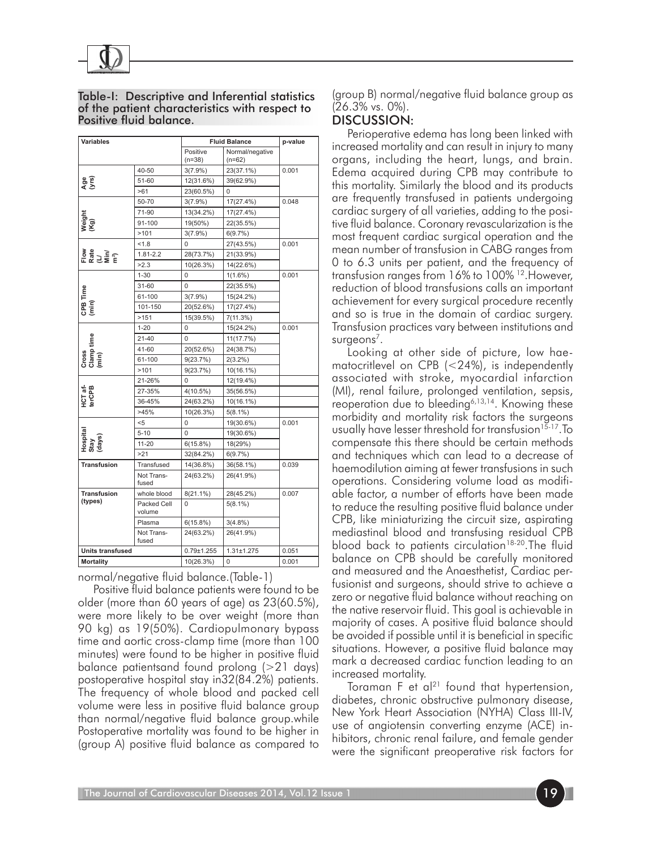

| Table-I: Descriptive and Inferential statistics |
|-------------------------------------------------|
| of the patient characteristics with respect to  |
| Positive fluid balance.                         |

| <b>Variables</b>                     |                       | <b>Fluid Balance</b> |                             | p-value |
|--------------------------------------|-----------------------|----------------------|-----------------------------|---------|
|                                      |                       | Positive<br>$(n=38)$ | Normal/negative<br>$(n=62)$ |         |
| $\frac{96}{5}$                       | $40 - 50$             | $3(7.9\%)$           | 23(37.1%)                   | 0.001   |
|                                      | 51-60                 | 12(31.6%)            | 39(62.9%)                   |         |
|                                      | >61                   | 23(60.5%)            | 0                           |         |
| Weight<br>(Kg)                       | 50-70                 | $3(7.9\%)$           | 17(27.4%)                   | 0.048   |
|                                      | 71-90                 | 13(34.2%)            | 17(27.4%)                   |         |
|                                      | 91-100                | 19(50%)              | 22(35.5%)                   |         |
|                                      | >101                  | $3(7.9\%)$           | 6(9.7%)                     |         |
| Flow<br>Rate<br>Wilia <sup>2</sup> ) | 1.8                   | 0                    | 27(43.5%)                   | 0.001   |
|                                      | $1.81 - 2.2$          | 28(73.7%)            | 21(33.9%)                   |         |
|                                      | >2.3                  | 10(26.3%)            | 14(22.6%)                   |         |
| CPB Time<br>(min)                    | $1 - 30$              | 0                    | $1(1.6\%)$                  | 0.001   |
|                                      | 31-60                 | $\Omega$             | 22(35.5%)                   |         |
|                                      | 61-100                | $3(7.9\%)$           | 15(24.2%)                   |         |
|                                      | 101-150               | 20(52.6%)            | 17(27.4%)                   |         |
|                                      | >151                  | 15(39.5%)            | 7(11.3%)                    |         |
| Cross<br>Clamp time<br>(min)         | $1 - 20$              | 0                    | 15(24.2%)                   | 0.001   |
|                                      | $21 - 40$             | 0                    | 11(17.7%)                   |         |
|                                      | 41-60                 | 20(52.6%)            | 24(38.7%)                   |         |
|                                      | 61-100                | 9(23.7%)             | $2(3.2\%)$                  |         |
|                                      | >101                  | 9(23.7%)             | 10(16.1%)                   |         |
| HCT af-<br>terCPB                    | 21-26%                | 0                    | 12(19.4%)                   |         |
|                                      | 27-35%                | 4(10.5%)             | 35(56.5%)                   |         |
|                                      | 36-45%                | 24(63.2%)            | 10(16.1%)                   |         |
|                                      | >45%                  | 10(26.3%)            | $5(8.1\%)$                  |         |
| Hospital<br>Stay<br>(days)           | $5$                   | 0                    | 19(30.6%)                   | 0.001   |
|                                      | $5 - 10$              | 0                    | 19(30.6%)                   |         |
|                                      | $11 - 20$             | 6(15.8%)             | 18(29%)                     |         |
|                                      | >21                   | 32(84.2%)            | 6(9.7%)                     |         |
| <b>Transfusion</b>                   | Transfused            | 14(36.8%)            | 36(58.1%)                   | 0.039   |
|                                      | Not Trans-<br>fused   | 24(63.2%)            | 26(41.9%)                   |         |
| <b>Transfusion</b><br>(types)        | whole blood           | $8(21.1\%)$          | 28(45.2%)                   | 0.007   |
|                                      | Packed Cell<br>volume | 0                    | $5(8.1\%)$                  |         |
|                                      | Plasma                | 6(15.8%)             | $3(4.8\%)$                  |         |
|                                      | Not Trans-<br>fused   | 24(63.2%)            | 26(41.9%)                   |         |
| <b>Units transfused</b>              |                       | $0.79 + 1.255$       | $1.31 \pm 1.275$            | 0.051   |
| <b>Mortality</b>                     |                       | 10(26.3%)            | 0                           | 0.001   |

normal/negative fluid balance.(Table-1)

Positive fluid balance patients were found to be older (more than 60 years of age) as 23(60.5%), were more likely to be over weight (more than 90 kg) as 19(50%). Cardiopulmonary bypass time and aortic cross-clamp time (more than 100 minutes) were found to be higher in positive fluid balance patientsand found prolong (>21 days) postoperative hospital stay in32(84.2%) patients. The frequency of whole blood and packed cell volume were less in positive fluid balance group than normal/negative fluid balance group.while Postoperative mortality was found to be higher in (group A) positive fluid balance as compared to

(group B) normal/negative fluid balance group as (26.3% vs. 0%).

## Discussion:

Perioperative edema has long been linked with increased mortality and can result in injury to many organs, including the heart, lungs, and brain. Edema acquired during CPB may contribute to this mortality. Similarly the blood and its products are frequently transfused in patients undergoing cardiac surgery of all varieties, adding to the positive fluid balance. Coronary revascularization is the most frequent cardiac surgical operation and the mean number of transfusion in CABG ranges from 0 to 6.3 units per patient, and the frequency of transfusion ranges from 16% to 100% 12.However, reduction of blood transfusions calls an important achievement for every surgical procedure recently and so is true in the domain of cardiac surgery. Transfusion practices vary between institutions and surgeons<sup>7</sup>.

Looking at other side of picture, low haematocritlevel on CPB (<24%), is independently associated with stroke, myocardial infarction (MI), renal failure, prolonged ventilation, sepsis, reoperation due to bleeding6,13,14. Knowing these morbidity and mortality risk factors the surgeons usually have lesser threshold for transfusion<sup>15-17</sup>. To compensate this there should be certain methods and techniques which can lead to a decrease of haemodilution aiming at fewer transfusions in such operations. Considering volume load as modifiable factor, a number of efforts have been made to reduce the resulting positive fluid balance under CPB, like miniaturizing the circuit size, aspirating mediastinal blood and transfusing residual CPB blood back to patients circulation<sup>18-20</sup>. The fluid balance on CPB should be carefully monitored and measured and the Anaesthetist, Cardiac perfusionist and surgeons, should strive to achieve a zero or negative fluid balance without reaching on the native reservoir fluid. This goal is achievable in majority of cases. A positive fluid balance should be avoided if possible until it is beneficial in specific situations. However, a positive fluid balance may mark a decreased cardiac function leading to an increased mortality.

Toraman  $F$  et al<sup>21</sup> found that hypertension, diabetes, chronic obstructive pulmonary disease, New York Heart Association (NYHA) Class III-IV, use of angiotensin converting enzyme (ACE) inhibitors, chronic renal failure, and female gender were the significant preoperative risk factors for

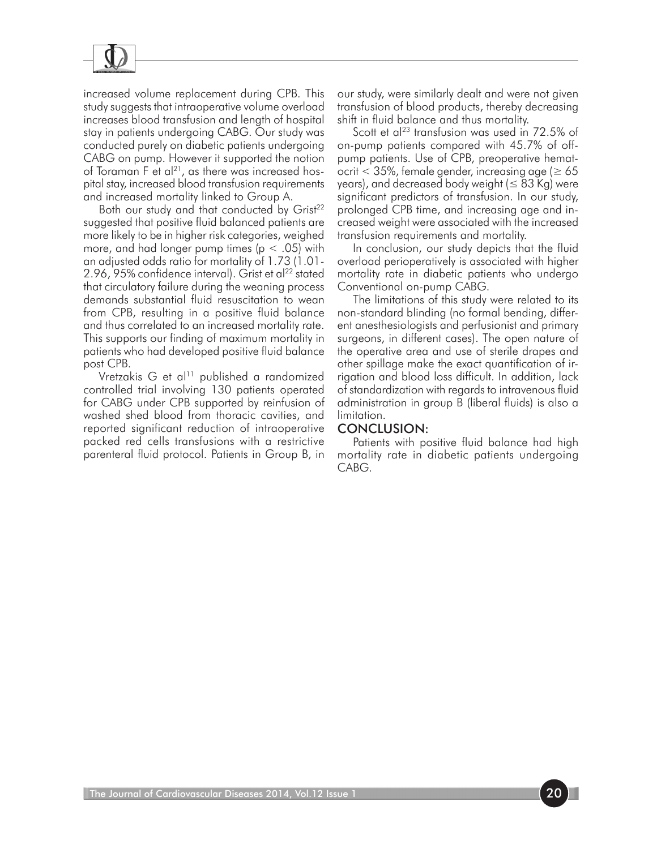

increased volume replacement during CPB. This study suggests that intraoperative volume overload increases blood transfusion and length of hospital stay in patients undergoing CABG. Our study was conducted purely on diabetic patients undergoing CABG on pump. However it supported the notion of Toraman F et al<sup>21</sup>, as there was increased hospital stay, increased blood transfusion requirements and increased mortality linked to Group A.

Both our study and that conducted by Grist<sup>22</sup> suggested that positive fluid balanced patients are more likely to be in higher risk categories, weighed more, and had longer pump times ( $p < .05$ ) with an adjusted odds ratio for mortality of 1.73 (1.01- 2.96, 95% confidence interval). Grist et al $^{22}$  stated that circulatory failure during the weaning process demands substantial fluid resuscitation to wean from CPB, resulting in a positive fluid balance and thus correlated to an increased mortality rate. This supports our finding of maximum mortality in patients who had developed positive fluid balance post CPB.

Vretzakis G et al<sup>11</sup> published a randomized controlled trial involving 130 patients operated for CABG under CPB supported by reinfusion of washed shed blood from thoracic cavities, and reported significant reduction of intraoperative packed red cells transfusions with a restrictive parenteral fluid protocol. Patients in Group B, in

our study, were similarly dealt and were not given transfusion of blood products, thereby decreasing shift in fluid balance and thus mortality.

Scott et al<sup>23</sup> transfusion was used in 72.5% of on-pump patients compared with 45.7% of offpump patients. Use of CPB, preoperative hematocrit  $<$  35%, female gender, increasing age ( $\geq$  65 years), and decreased body weight ( $\leq 83$  Kg) were significant predictors of transfusion. In our study, prolonged CPB time, and increasing age and increased weight were associated with the increased transfusion requirements and mortality.

In conclusion, our study depicts that the fluid overload perioperatively is associated with higher mortality rate in diabetic patients who undergo Conventional on-pump CABG.

The limitations of this study were related to its non-standard blinding (no formal bending, different anesthesiologists and perfusionist and primary surgeons, in different cases). The open nature of the operative area and use of sterile drapes and other spillage make the exact quantification of irrigation and blood loss difficult. In addition, lack of standardization with regards to intravenous fluid administration in group B (liberal fluids) is also a limitation.

#### Conclusion:

Patients with positive fluid balance had high mortality rate in diabetic patients undergoing CABG.